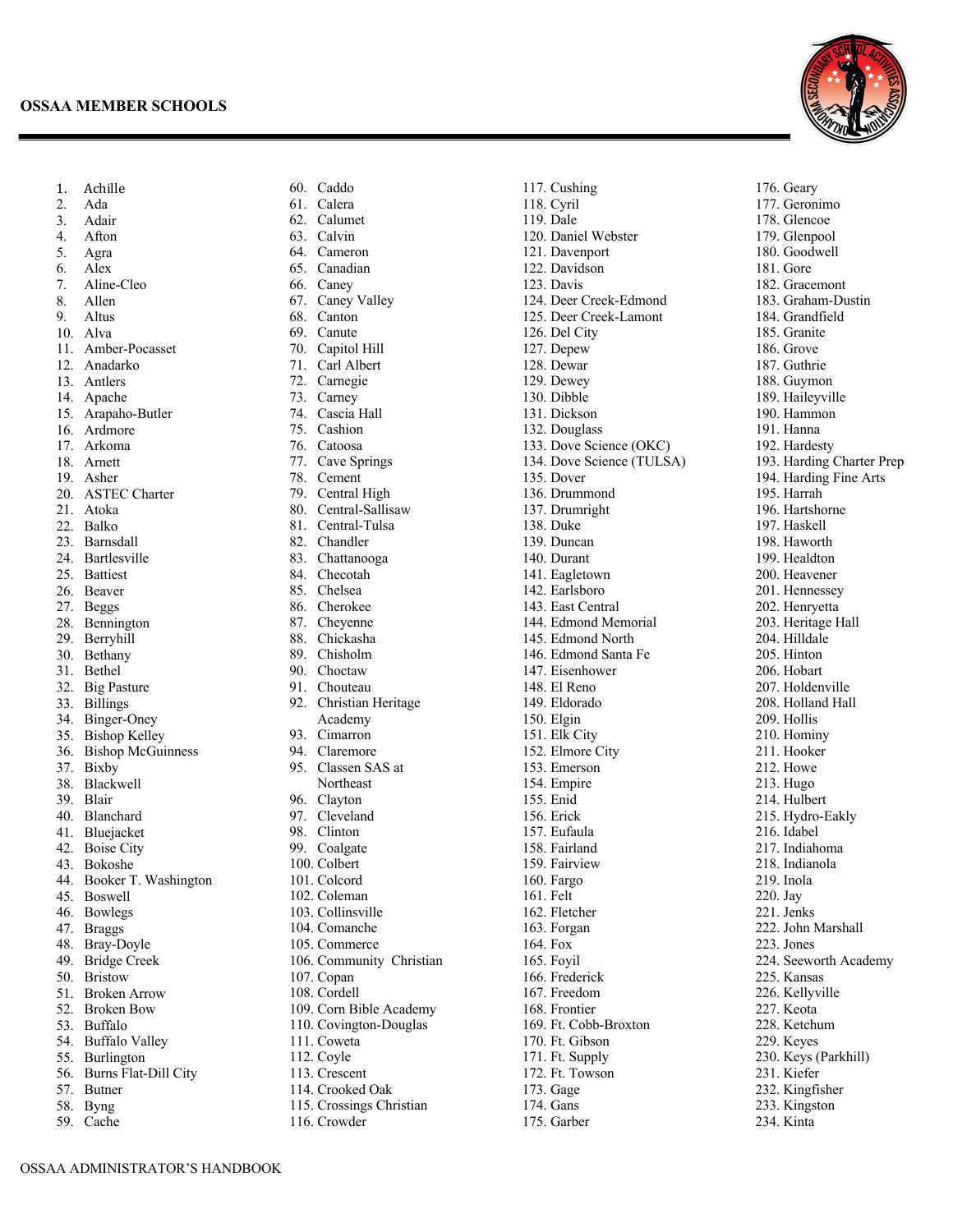## **OSSAA MEMBER SCHOOLS**

1. Achille 2. Ada 3. Adair 4. Afton<br>5. Agra Agra 6. Alex 7. Aline-Cleo 8. Allen 9. Altus 10. Alva 11. Amber-Pocasset 12. Anadarko 13. Antlers 14. Apache 15. Arapaho-Butler 16. Ardmore 17. Arkoma 18. Arnett 19. Asher 20. ASTEC Charter 21. Atoka 22. Balko 23. Barnsdall 24. Bartlesville 25. Battiest 26. Beaver 27. Beggs 28. Bennington 29. Berryhill 30. Bethany 31. Bethel 32. Big Pasture 33. Billings 34. Binger-Oney 35. Bishop Kelley 36. Bishop McGuinness 37. Bixby 38. Blackwell 39. Blair 40. Blanchard 41. Bluejacket 42. Boise City 43. Bokoshe 44. Booker T. Washington Boswell 46. Bowlegs 47. Braggs 48. Bray-Doyle 49. Bridge Creek 50. Bristow 51. Broken Arrow 52. Broken Bow 53. Buffalo 54. Buffalo Valley<br>55. Burlington **Burlington** 56. Burns Flat-Dill City 57. Butner 58. Byng

59. Cache

60. Caddo 61. Calera 62. Calumet 63. Calvin 64. Cameron 65. Canadian 66. Caney 67. Caney Valley 68. Canton 69. Canute 70. Capitol Hill 71. Carl Albert 72. Carnegie 73. Carney 74. Cascia Hall 75. Cashion 76. Catoosa 77. Cave Springs Cement 79. Central High 80. Central-Sallisaw 81. Central-Tulsa 82. Chandler 83. Chattanooga 84. Checotah 85. Chelsea 86. Cherokee 87. Cheyenne 88. Chickasha 89. Chisholm 90. Choctaw 91. Chouteau 92. Christian Heritage Academy 93. Cimarron 94. Claremore 95. Classen SAS at Northeast 96. Clayton 97. Cleveland 98. Clinton 99. Coalgate 100. Colbert 101. Colcord 102. Coleman 103. Collinsville 104. Comanche 105. Commerce 106. Community Christian 107. Copan 108. Cordell 109. Corn Bible Academy 110. Covington-Douglas 111. Coweta 112. Coyle 113. Crescent 114. Crooked Oak 115. Crossings Christian 116. Crowder

## 117. Cushing 118. Cyril 119. Dale 120. Daniel Webster 121. Davenport 122. Davidson 123. Davis 124. Deer Creek-Edmond 125. Deer Creek-Lamont 126. Del City 127. Depew 128. Dewar 129. Dewey 130. Dibble 131. Dickson 132. Douglass 133. Dove Science (OKC) 134. Dove Science (TULSA) 135. Dover 136. Drummond 137. Drumright 138. Duke 139. Duncan 140. Durant 141. Eagletown 142. Earlsboro 143. East Central 144. Edmond Memorial 145. Edmond North 146. Edmond Santa Fe 147. Eisenhower 148. El Reno 149. Eldorado 150. Elgin 151. Elk City 152. Elmore City 153. Emerson 154. Empire 155. Enid 156. Erick 157. Eufaula 158. Fairland 159. Fairview 160. Fargo 161. Felt 162. Fletcher 163. Forgan 164. Fox 165. Foyil 166. Frederick 167. Freedom 168. Frontier 169. Ft. Cobb-Broxton 170. Ft. Gibson 171. Ft. Supply 172. Ft. Towson 173. Gage 174. Gans 175. Garber

176. Geary 177. Geronimo 178. Glencoe 179. Glenpool 180. Goodwell 181. Gore 182. Gracemont 183. Graham-Dustin 184. Grandfield 185. Granite 186. Grove 187. Guthrie 188. Guymon 189. Haileyville 190. Hammon 191. Hanna 192. Hardesty 193. Harding Charter Prep 194. Harding Fine Arts 195. Harrah 196. Hartshorne 197. Haskell 198. Haworth 199. Healdton 200. Heavener 201. Hennessey 202. Henryetta 203. Heritage Hall 204. Hilldale 205. Hinton 206. Hobart 207. Holdenville 208. Holland Hall 209. Hollis 210. Hominy 211. Hooker 212. Howe 213. Hugo 214. Hulbert 215. Hydro-Eakly 216. Idabel 217. Indiahoma 218. Indianola 219. Inola 220. Jay 221. Jenks 222. John Marshall 223. Jones 224. Seeworth Academy 225. Kansas 226. Kellyville 227. Keota 228. Ketchum 229. Keyes 230. Keys (Parkhill) 231. Kiefer 232. Kingfisher 233. Kingston 234. Kinta